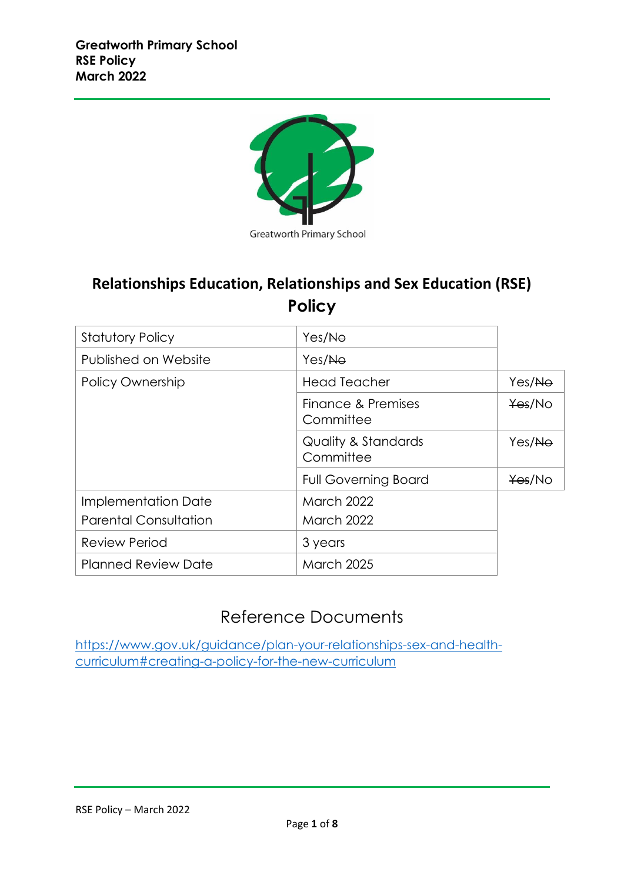

**Greatworth Primary School** 

# **Relationships Education, Relationships and Sex Education (RSE) Policy**

| <b>Statutory Policy</b>      | Yes/No                                      |        |
|------------------------------|---------------------------------------------|--------|
| Published on Website         | Yes/No                                      |        |
| <b>Policy Ownership</b>      | <b>Head Teacher</b>                         | Yes/No |
|                              | Finance & Premises<br>Committee             | Yes/No |
|                              | <b>Quality &amp; Standards</b><br>Committee | Yes/No |
|                              | <b>Full Governing Board</b>                 | Yes/No |
| Implementation Date          | <b>March 2022</b>                           |        |
| <b>Parental Consultation</b> | <b>March 2022</b>                           |        |
| <b>Review Period</b>         | 3 years                                     |        |
| <b>Planned Review Date</b>   | <b>March 2025</b>                           |        |

## Reference Documents

[https://www.gov.uk/guidance/plan-your-relationships-sex-and-health](https://www.gov.uk/guidance/plan-your-relationships-sex-and-health-curriculum#creating-a-policy-for-the-new-curriculum)[curriculum#creating-a-policy-for-the-new-curriculum](https://www.gov.uk/guidance/plan-your-relationships-sex-and-health-curriculum#creating-a-policy-for-the-new-curriculum)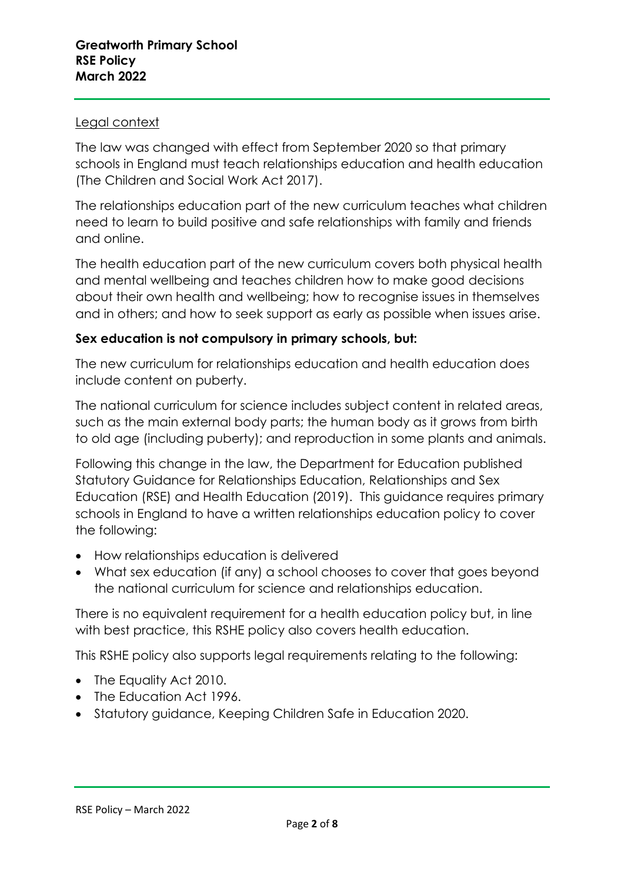## Legal context

The law was changed with effect from September 2020 so that primary schools in England must teach relationships education and health education (The Children and Social Work Act 2017).

The relationships education part of the new curriculum teaches what children need to learn to build positive and safe relationships with family and friends and online.

The health education part of the new curriculum covers both physical health and mental wellbeing and teaches children how to make good decisions about their own health and wellbeing; how to recognise issues in themselves and in others; and how to seek support as early as possible when issues arise.

## **Sex education is not compulsory in primary schools, but:**

The new curriculum for relationships education and health education does include content on puberty.

The national curriculum for science includes subject content in related areas, such as the main external body parts; the human body as it grows from birth to old age (including puberty); and reproduction in some plants and animals.

Following this change in the law, the Department for Education published Statutory Guidance for Relationships Education, Relationships and Sex Education (RSE) and Health Education (2019). This guidance requires primary schools in England to have a written relationships education policy to cover the following:

- How relationships education is delivered
- What sex education (if any) a school chooses to cover that goes beyond the national curriculum for science and relationships education.

There is no equivalent requirement for a health education policy but, in line with best practice, this RSHE policy also covers health education.

This RSHE policy also supports legal requirements relating to the following:

- The Equality Act 2010.
- The Education Act 1996.
- Statutory guidance, Keeping Children Safe in Education 2020.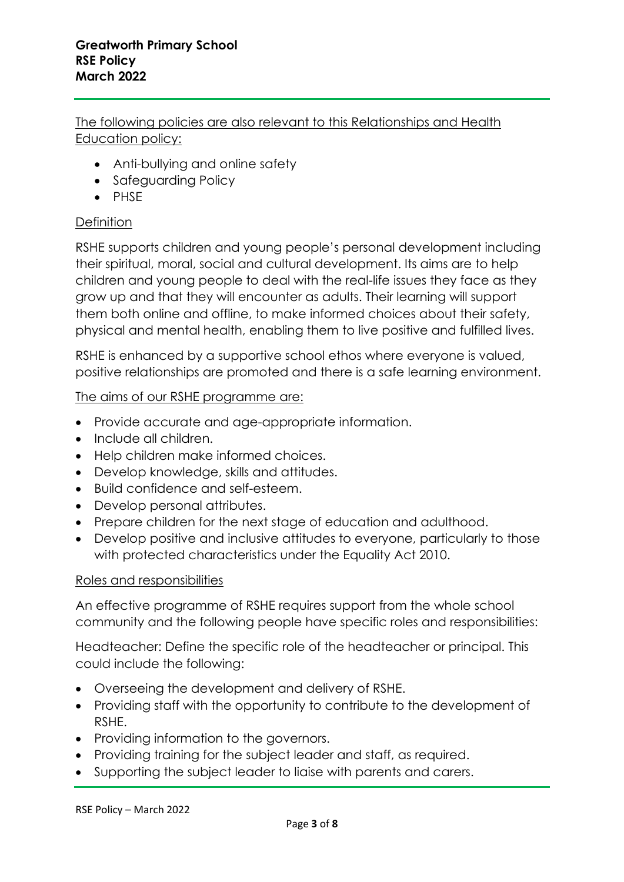The following policies are also relevant to this Relationships and Health Education policy:

- Anti-bullying and online safety
- Safeguarding Policy
- PHSE

## **Definition**

RSHE supports children and young people's personal development including their spiritual, moral, social and cultural development. Its aims are to help children and young people to deal with the real-life issues they face as they grow up and that they will encounter as adults. Their learning will support them both online and offline, to make informed choices about their safety, physical and mental health, enabling them to live positive and fulfilled lives.

RSHE is enhanced by a supportive school ethos where everyone is valued, positive relationships are promoted and there is a safe learning environment.

## The aims of our RSHE programme are:

- Provide accurate and age-appropriate information.
- Include all children.
- Help children make informed choices.
- Develop knowledge, skills and attitudes.
- Build confidence and self-esteem.
- Develop personal attributes.
- Prepare children for the next stage of education and adulthood.
- Develop positive and inclusive attitudes to everyone, particularly to those with protected characteristics under the Equality Act 2010.

#### Roles and responsibilities

An effective programme of RSHE requires support from the whole school community and the following people have specific roles and responsibilities:

Headteacher: Define the specific role of the headteacher or principal. This could include the following:

- Overseeing the development and delivery of RSHE.
- Providing staff with the opportunity to contribute to the development of RSHE.
- Providing information to the governors.
- Providing training for the subject leader and staff, as required.
- Supporting the subject leader to liaise with parents and carers.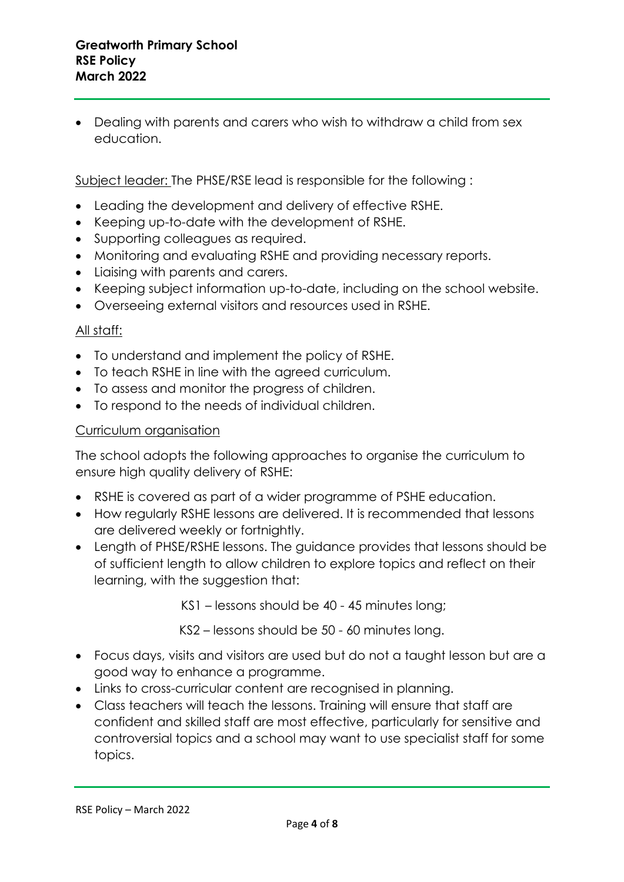• Dealing with parents and carers who wish to withdraw a child from sex education.

Subject leader: The PHSE/RSE lead is responsible for the following :

- Leading the development and delivery of effective RSHE.
- Keeping up-to-date with the development of RSHE.
- Supporting colleagues as required.
- Monitoring and evaluating RSHE and providing necessary reports.
- Liaising with parents and carers.
- Keeping subject information up-to-date, including on the school website.
- Overseeing external visitors and resources used in RSHE.

## All staff:

- To understand and implement the policy of RSHE.
- To teach RSHE in line with the agreed curriculum.
- To assess and monitor the progress of children.
- To respond to the needs of individual children.

## Curriculum organisation

The school adopts the following approaches to organise the curriculum to ensure high quality delivery of RSHE:

- RSHE is covered as part of a wider programme of PSHE education.
- How regularly RSHE lessons are delivered. It is recommended that lessons are delivered weekly or fortnightly.
- Length of PHSE/RSHE lessons. The guidance provides that lessons should be of sufficient length to allow children to explore topics and reflect on their learning, with the suggestion that:

KS1 – lessons should be 40 - 45 minutes long;

KS2 – lessons should be 50 - 60 minutes long.

- Focus days, visits and visitors are used but do not a taught lesson but are a good way to enhance a programme.
- Links to cross-curricular content are recognised in planning.
- Class teachers will teach the lessons. Training will ensure that staff are confident and skilled staff are most effective, particularly for sensitive and controversial topics and a school may want to use specialist staff for some topics.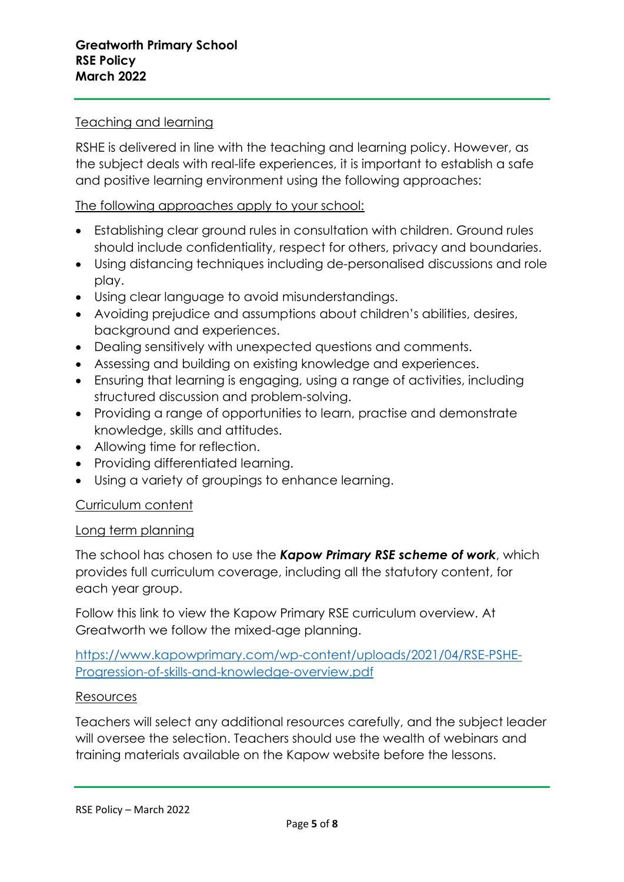## Teaching and learning

RSHE is delivered in line with the teaching and learning policy. However, as the subject deals with real-life experiences, it is important to establish a safe and positive learning environment using the following approaches:

## The following approaches apply to your school:

- Establishing clear ground rules in consultation with children. Ground rules should include confidentiality, respect for others, privacy and boundaries.
- Using distancing techniques including de-personalised discussions and role play.
- Using clear language to avoid misunderstandings.
- Avoiding prejudice and assumptions about children's abilities, desires, background and experiences.
- Dealing sensitively with unexpected questions and comments.
- Assessing and building on existing knowledge and experiences.
- Ensuring that learning is engaging, using a range of activities, including structured discussion and problem-solving.
- Providing a range of opportunities to learn, practise and demonstrate knowledge, skills and attitudes.
- Allowing time for reflection.
- Providing differentiated learning.
- Using a variety of groupings to enhance learning.

#### Curriculum content

#### Long term planning

The school has chosen to use the *Kapow Primary RSE scheme of work*, which provides full curriculum coverage, including all the statutory content, for each year group.

Follow this link to view the Kapow Primary RSE curriculum overview. At Greatworth we follow the mixed-age planning.

[https://www.kapowprimary.com/wp-content/uploads/2021/04/RSE-PSHE-](https://www.kapowprimary.com/wp-content/uploads/2021/04/RSE-PSHE-Progression-of-skills-and-knowledge-overview.pdf)[Progression-of-skills-and-knowledge-overview.pdf](https://www.kapowprimary.com/wp-content/uploads/2021/04/RSE-PSHE-Progression-of-skills-and-knowledge-overview.pdf)

#### Resources

Teachers will select any additional resources carefully, and the subject leader will oversee the selection. Teachers should use the wealth of webinars and training materials available on the Kapow website before the lessons.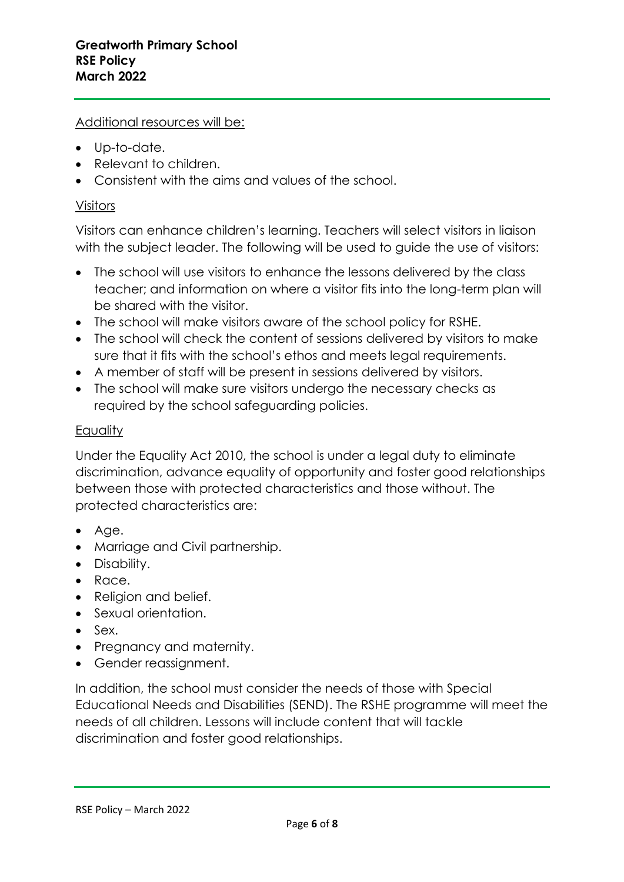Additional resources will be:

- Up-to-date.
- Relevant to children.
- Consistent with the aims and values of the school.

#### Visitors

Visitors can enhance children's learning. Teachers will select visitors in liaison with the subject leader. The following will be used to guide the use of visitors:

- The school will use visitors to enhance the lessons delivered by the class teacher; and information on where a visitor fits into the long-term plan will be shared with the visitor.
- The school will make visitors aware of the school policy for RSHE.
- The school will check the content of sessions delivered by visitors to make sure that it fits with the school's ethos and meets legal requirements.
- A member of staff will be present in sessions delivered by visitors.
- The school will make sure visitors undergo the necessary checks as required by the school safeguarding policies.

#### **Equality**

Under the Equality Act 2010, the school is under a legal duty to eliminate discrimination, advance equality of opportunity and foster good relationships between those with protected characteristics and those without. The protected characteristics are:

- Age.
- Marriage and Civil partnership.
- Disability.
- Race.
- Religion and belief.
- Sexual orientation.
- Sex.
- Pregnancy and maternity.
- Gender reassignment.

In addition, the school must consider the needs of those with Special Educational Needs and Disabilities (SEND). The RSHE programme will meet the needs of all children. Lessons will include content that will tackle discrimination and foster good relationships.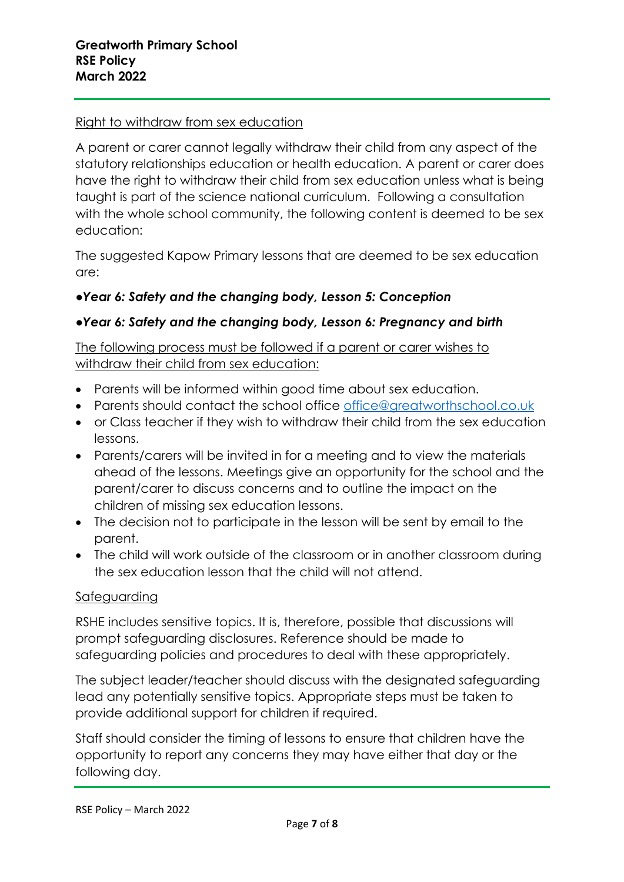## Right to withdraw from sex education

A parent or carer cannot legally withdraw their child from any aspect of the statutory relationships education or health education. A parent or carer does have the right to withdraw their child from sex education unless what is being taught is part of the science national curriculum. Following a consultation with the whole school community, the following content is deemed to be sex education:

The suggested Kapow Primary lessons that are deemed to be sex education are:

## ●*Year 6: Safety and the changing body, Lesson 5: Conception*

## *●Year 6: Safety and the changing body, Lesson 6: Pregnancy and birth*

The following process must be followed if a parent or carer wishes to withdraw their child from sex education:

- Parents will be informed within good time about sex education.
- Parents should contact the school office [office@greatworthschool.co.uk](mailto:office@greatworthschool.co.uk)
- or Class teacher if they wish to withdraw their child from the sex education lessons.
- Parents/carers will be invited in for a meeting and to view the materials ahead of the lessons. Meetings give an opportunity for the school and the parent/carer to discuss concerns and to outline the impact on the children of missing sex education lessons.
- The decision not to participate in the lesson will be sent by email to the parent.
- The child will work outside of the classroom or in another classroom during the sex education lesson that the child will not attend.

#### Safeguarding

RSHE includes sensitive topics. It is, therefore, possible that discussions will prompt safeguarding disclosures. Reference should be made to safeguarding policies and procedures to deal with these appropriately.

The subject leader/teacher should discuss with the designated safeguarding lead any potentially sensitive topics. Appropriate steps must be taken to provide additional support for children if required.

Staff should consider the timing of lessons to ensure that children have the opportunity to report any concerns they may have either that day or the following day.